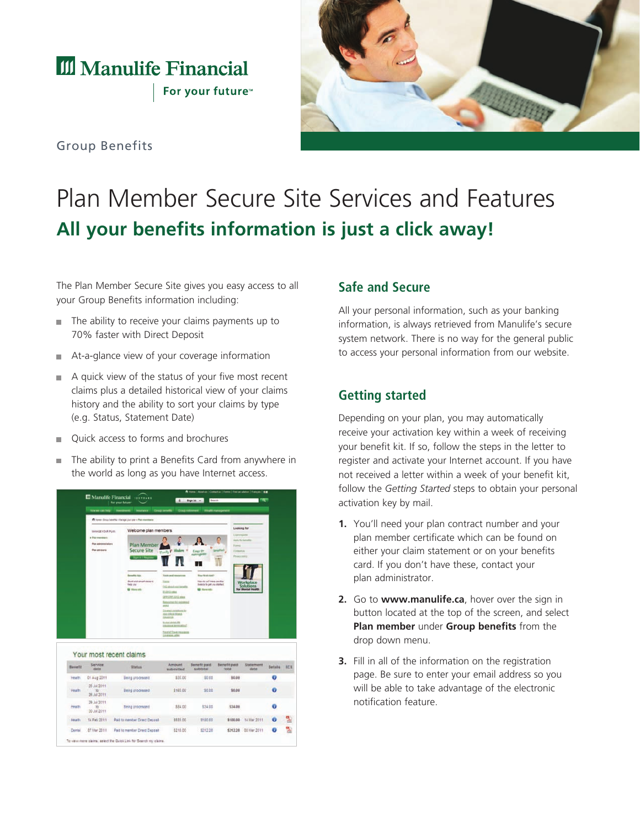## **III** Manulife Financial

For your future<sup>™</sup>



#### Group Benefits

# Plan Member Secure Site Services and Features **All your benefits information is just a click away!**

The Plan Member Secure Site gives you easy access to all your Group Benefits information including:

- $\blacksquare$  The ability to receive your claims payments up to 70% faster with Direct Deposit
- At-a-glance view of your coverage information
- A quick view of the status of your five most recent claims plus a detailed historical view of your claims history and the ability to sort your claims by type (e.g. Status, Statement Date)
- Quick access to forms and brochures  $\mathbb{R}^n$
- The ability to print a Benefits Card from anywhere in the world as long as you have Internet access.



#### **Safe and Secure**

All your personal information, such as your banking information, is always retrieved from Manulife's secure system network. There is no way for the general public to access your personal information from our website.

#### **Getting started**

Depending on your plan, you may automatically receive your activation key within a week of receiving your benefit kit. If so, follow the steps in the letter to register and activate your Internet account. If you have not received a letter within a week of your benefit kit, follow the *Getting Started* steps to obtain your personal activation key by mail.

- **1.** You'll need your plan contract number and your plan member certificate which can be found on either your claim statement or on your benefits card. If you don't have these, contact your plan administrator.
- **2.** Go to **www.manulife.ca**, hover over the sign in button located at the top of the screen, and select **Plan member** under **Group benefits** from the drop down menu.
- **3.** Fill in all of the information on the registration page. Be sure to enter your email address so you will be able to take advantage of the electronic notification feature.